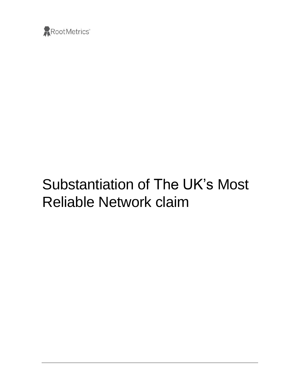

# Substantiation of The UK's Most Reliable Network claim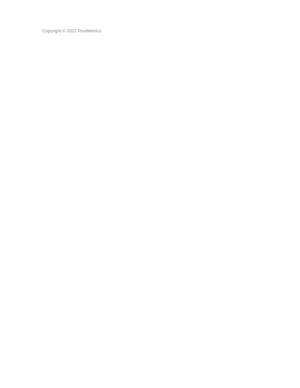Copyright © 2022 RootMetrics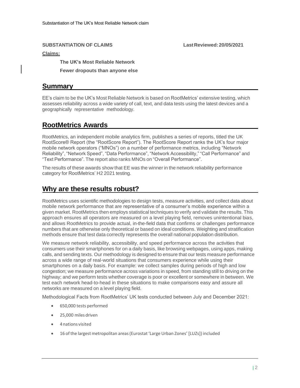#### **SUBSTANTIATION OF CLAIMS LastReviewed: 20/05/2021**

#### **Claims:**

**The UK's Most Reliable Network**

**Fewer dropouts than anyone else**

#### **Summary**

EE's claim to be the UK's Most Reliable Network is based on RootMetrics' extensive testing, which assesses reliability across a wide variety of call, text, and data tests using the latest devices and a geographically representative methodology.

## **RootMetrics Awards**

RootMetrics, an independent mobile analytics firm, publishes a series of reports, titled the UK RootScore® Report (the "RootScore Report"). The RootScore Report ranks the UK's four major mobile network operators ("MNOs") on a number of performance metrics, including "Network Reliability", "Network Speed", "Data Performance", "Network Accessibility," "Call Performance" and "Text Performance". The report also ranks MNOs on "Overall Performance".

The results of these awards show that EE was the winner in the network reliability performance category for RootMetrics' H2 2021 testing.

### **Why are these results robust?**

RootMetrics uses scientific methodologies to design tests, measure activities, and collect data about mobile network performance that are representative of a consumer's mobile experience within a given market. RootMetrics then employs statistical techniques to verify and validate the results. This approach ensures all operators are measured on a level playing field, removes unintentional bias, and allows RootMetrics to provide actual, in-the-field data that confirms or challenges performance numbers that are otherwise only theoretical or based on ideal conditions. Weighting and stratification methods ensure that test data correctly represents the overall national population distribution.

We measure network reliability, accessibility, and speed performance across the activities that consumers use their smartphones for on a daily basis, like browsing webpages, using apps, making calls, and sending texts. Our methodology is designed to ensure that our tests measure performance across a wide range of real-world situations that consumers experience while using their smartphones on a daily basis. For example: we collect samples during periods of high and low congestion; we measure performance across variations in speed, from standing still to driving on the highway; and we perform tests whether coverage is poor or excellent or somewhere in between. We test each network head-to-head in these situations to make comparisons easy and assure all networks are measured on a level playing field.

Methodological Facts from RootMetrics' UK tests conducted between July and December 2021:

- 650,000 tests performed
- 25,000 miles driven
- 4nations visited
- 16 ofthe largestmetropolitan areas(Eurostat'Large Urban Zones' [LUZs]) included